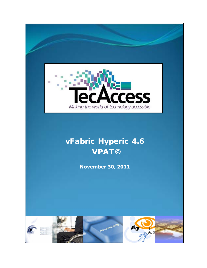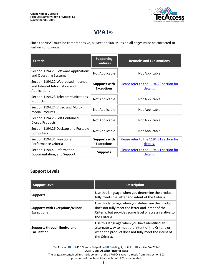

# **VPAT©**

Since the VPAT must be comprehensive, all Section 508 issues on all pages must be corrected to sustain compliance.

| <b>Criteria</b>                                                                    | <b>Supporting</b><br><b>Features</b>      | <b>Remarks and Explanations</b>                     |
|------------------------------------------------------------------------------------|-------------------------------------------|-----------------------------------------------------|
| Section 1194.21 Software Applications<br>and Operating Systems                     | Not Applicable                            | Not Applicable                                      |
| Section 1194.22 Web-based Intranet<br>and Internet Information and<br>Applications | <b>Supports with</b><br><b>Exceptions</b> | Please refer to the 1194.22 section for<br>details. |
| Section 1194.23 Telecommunications<br>Products                                     | Not Applicable                            | Not Applicable                                      |
| Section 1194.24 Video and Multi-<br>media Products                                 | Not Applicable                            | Not Applicable                                      |
| Section 1194.25 Self-Contained,<br><b>Closed Products</b>                          | Not Applicable                            | Not Applicable                                      |
| Section 1194.26 Desktop and Portable<br>Computers                                  | Not Applicable                            | Not Applicable                                      |
| Section 1194.31 Functional<br>Performance Criteria                                 | <b>Supports with</b><br><b>Exceptions</b> | Please refer to the 1194.31 section for<br>details. |
| Section 1194.41 Information,<br>Documentation, and Support                         | <b>Supports</b>                           | Please refer to the 1194.41 section for<br>details. |

#### **Support Levels**

| <b>Support Level</b>                                       | <b>Description</b>                                                                                                                                                               |
|------------------------------------------------------------|----------------------------------------------------------------------------------------------------------------------------------------------------------------------------------|
| <b>Supports</b>                                            | Use this language when you determine the product<br>fully meets the letter and intent of the Criteria.                                                                           |
| <b>Supports with Exceptions/Minor</b><br><b>Exceptions</b> | Use this language when you determine the product<br>does not fully meet the letter and intent of the<br>Criteria, but provides some level of access relative to<br>the Criteria. |
| <b>Supports through Equivalent</b><br><b>Facilitation</b>  | Use this language when you have identified an<br>alternate way to meet the intent of the Criteria or<br>when the product does not fully meet the intent of<br>the Criteria.      |

TecAccess LLC 2410 Granite Ridge Road Building A, Unit 1 Dickville, VA 23146 **CONFIDENTIAL AND PROPRIETARY** The language contained in criteria column of the VPAT© is taken directly from the Section 508

provisions of the Rehabilitation Act of 1973, as amended.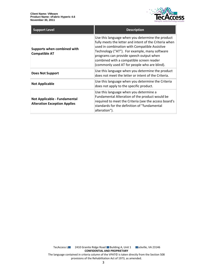

| <b>Support Level</b>                                                | <b>Description</b>                                                                                                                                                                                                                                                                                                                                  |
|---------------------------------------------------------------------|-----------------------------------------------------------------------------------------------------------------------------------------------------------------------------------------------------------------------------------------------------------------------------------------------------------------------------------------------------|
| Supports when combined with<br><b>Compatible AT</b>                 | Use this language when you determine the product<br>fully meets the letter and intent of the Criteria when<br>used in combination with Compatible Assistive<br>Technology ("AT"). For example, many software<br>programs can provide speech output when<br>combined with a compatible screen reader<br>(commonly used AT for people who are blind). |
| Does Not Support                                                    | Use this language when you determine the product<br>does not meet the letter or intent of the Criteria.                                                                                                                                                                                                                                             |
| <b>Not Applicable</b>                                               | Use this language when you determine the Criteria<br>does not apply to the specific product.                                                                                                                                                                                                                                                        |
| Not Applicable - Fundamental<br><b>Alteration Exception Applies</b> | Use this language when you determine a<br>Fundamental Alteration of the product would be<br>required to meet the Criteria (see the access board's<br>standards for the definition of "fundamental<br>alteration").                                                                                                                                  |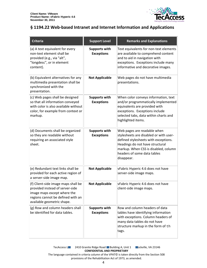

## <span id="page-3-0"></span>**§ 1194.22 Web-based Intranet and Internet Information and Applications**

| <b>Criteria</b>                                                                                                                                                          | <b>Support Level</b>                      | <b>Remarks and Explanations</b>                                                                                                                                                                                                       |
|--------------------------------------------------------------------------------------------------------------------------------------------------------------------------|-------------------------------------------|---------------------------------------------------------------------------------------------------------------------------------------------------------------------------------------------------------------------------------------|
| (a) A text equivalent for every<br>non-text element shall be<br>provided (e.g., via "alt",<br>"longdesc", or in element<br>content).                                     | <b>Supports with</b><br><b>Exceptions</b> | Text equivalents for non-text elements<br>are available to comprehend content<br>and to aid in navigation with<br>exceptions. Exceptions include many<br>informative and decorative images.                                           |
| (b) Equivalent alternatives for any<br>multimedia presentation shall be<br>synchronized with the<br>presentation.                                                        | <b>Not Applicable</b>                     | Web pages do not have multimedia<br>presentations.                                                                                                                                                                                    |
| (c) Web pages shall be designed<br>so that all information conveyed<br>with color is also available without<br>color, for example from context or<br>markup.             | <b>Supports with</b><br><b>Exceptions</b> | When color conveys information, text<br>and/or programmatically implemented<br>equivalents are provided with<br>exceptions. Exceptions include<br>selected tabs, data within charts and<br>highlighted items.                         |
| (d) Documents shall be organized<br>so they are readable without<br>requiring an associated style<br>sheet.                                                              | <b>Supports with</b><br><b>Exceptions</b> | Web pages are readable when<br>stylesheets are disabled or with user-<br>defined stylesheets with exceptions.<br>Headings do not have structural<br>markup. When CSS is disabled, column<br>headers of some data tables<br>disappear. |
| (e) Redundant text links shall be<br>provided for each active region of<br>a server-side image map.                                                                      | <b>Not Applicable</b>                     | vFabric Hyperic 4.6 does not have<br>server-side image maps.                                                                                                                                                                          |
| (f) Client-side image maps shall be<br>provided instead of server-side<br>image maps except where the<br>regions cannot be defined with an<br>available geometric shape. | <b>Not Applicable</b>                     | vFabric Hyperic 4.6 does not have<br>client-side image maps.                                                                                                                                                                          |
| (g) Row and column headers shall<br>be identified for data tables.                                                                                                       | <b>Supports with</b><br><b>Exceptions</b> | Row and column headers of data<br>tables have identifying information<br>with exceptions. Column headers of<br>many data tables do not have<br>structure markup in the form of th<br>tags.                                            |

TecAccess L**LC** 2410 Granite Ridge Road Building A, Unit 1 **Rockville, VA 23146 CONFIDENTIAL AND PROPRIETARY** The language contained in criteria column of the VPAT© is taken directly from the Section 508 provisions of the Rehabilitation Act of 1973, as amended.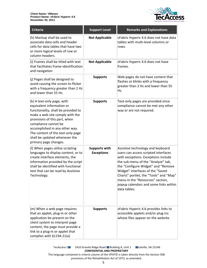

| <b>Criteria</b>                                                                                                                                                                                                                                                                                                             | <b>Support Level</b>                      | <b>Remarks and Explanations</b>                                                                                                                                                                                                                                                                                                                                         |
|-----------------------------------------------------------------------------------------------------------------------------------------------------------------------------------------------------------------------------------------------------------------------------------------------------------------------------|-------------------------------------------|-------------------------------------------------------------------------------------------------------------------------------------------------------------------------------------------------------------------------------------------------------------------------------------------------------------------------------------------------------------------------|
| (h) Markup shall be used to<br>associate data cells and header<br>cells for data tables that have two<br>or more logical levels of row or<br>column headers.                                                                                                                                                                | <b>Not Applicable</b>                     | vFabric Hyperic 4.6 does not have data<br>tables with multi-level columns or<br>rows.                                                                                                                                                                                                                                                                                   |
| (i) Frames shall be titled with text<br>that facilitates frame identification<br>and navigation                                                                                                                                                                                                                             | <b>Not Applicable</b>                     | vFabric Hyperic 4.6 does not have<br>frames.                                                                                                                                                                                                                                                                                                                            |
| (j) Pages shall be designed to<br>avoid causing the screen to flicker<br>with a frequency greater than 2 Hz<br>and lower than 55 Hz.                                                                                                                                                                                        | <b>Supports</b>                           | Web pages do not have content that<br>flashes or blinks with a frequency<br>greater than 2 Hz and lower than 55<br>Hz.                                                                                                                                                                                                                                                  |
| (k) A text-only page, with<br>equivalent information or<br>functionality, shall be provided to<br>make a web site comply with the<br>provisions of this part, when<br>compliance cannot be<br>accomplished in any other way.<br>The content of the text-only page<br>shall be updated whenever the<br>primary page changes. | <b>Supports</b>                           | Text-only pages are provided since<br>compliance cannot be met any other<br>way or are not required.                                                                                                                                                                                                                                                                    |
| (I) When pages utilize scripting<br>languages to display content, or to<br>create interface elements, the<br>information provided by the script<br>shall be identified with functional<br>text that can be read by Assistive<br>Technology.                                                                                 | <b>Supports with</b><br><b>Exceptions</b> | Assistive technology and keyboard<br>users can access scripted interfaces<br>with exceptions. Exceptions include<br>the sub-menu of the "Analyze" tab,<br>the "Configure Widget" and "Remove<br>Widget" interfaces of the "Saved<br>Charts" portlet, the "Tools" and "Map"<br>menu in the "Resources" section,<br>popup calendars and some links within<br>data tables. |
| (m) When a web page requires<br>that an applet, plug-in or other<br>application be present on the<br>client system to interpret page<br>content, the page must provide a<br>link to a plug-in or applet that<br>complies with §1194.21(a)                                                                                   | <b>Supports</b>                           | vFabric Hyperic 4.6 provides links to<br>accessible applets and/or plug-ins<br>whose files appear on the website.                                                                                                                                                                                                                                                       |

TecAccess L**LC** 2410 Granite Ridge Road Building A, Unit 1 **Rockville, VA 23146 CONFIDENTIAL AND PROPRIETARY** The language contained in criteria column of the VPAT© is taken directly from the Section 508 provisions of the Rehabilitation Act of 1973, as amended.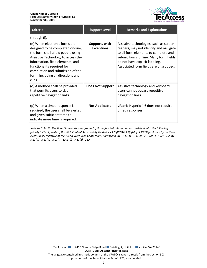

| <b>Criteria</b>                                                                                                                                                                                                                                                                                    | <b>Support Level</b>                      | <b>Remarks and Explanations</b>                                                                                                                                                                                                              |
|----------------------------------------------------------------------------------------------------------------------------------------------------------------------------------------------------------------------------------------------------------------------------------------------------|-------------------------------------------|----------------------------------------------------------------------------------------------------------------------------------------------------------------------------------------------------------------------------------------------|
| through (I).                                                                                                                                                                                                                                                                                       |                                           |                                                                                                                                                                                                                                              |
| (n) When electronic forms are<br>designed to be completed on-line,<br>the form shall allow people using<br>Assistive Technology to access the<br>information, field elements, and<br>functionality required for<br>completion and submission of the<br>form, including all directions and<br>cues. | <b>Supports with</b><br><b>Exceptions</b> | Assistive technologies, such as screen<br>readers, may not identify and navigate<br>to all form elements to complete and<br>submit forms online. Many form fields<br>do not have explicit labeling.<br>Associated form fields are ungrouped. |
| (o) A method shall be provided<br>that permits users to skip<br>repetitive navigation links.                                                                                                                                                                                                       | <b>Does Not Support</b>                   | Assistive technology and keyboard<br>users cannot bypass repetitive<br>navigation links.                                                                                                                                                     |
| (p) When a timed response is<br>required, the user shall be alerted<br>and given sufficient time to<br>indicate more time is required.                                                                                                                                                             | <b>Not Applicable</b>                     | vFabric Hyperic 4.6 does not require<br>timed responses.                                                                                                                                                                                     |

*Note to 1194.22: The Board interprets paragraphs (a) through (k) of this section as consistent with the following priority 1 Checkpoints of the Web Content Accessibility Guidelines 1.0 (WCAG 1.0) (May 5 1999) published by the Web Accessibility Initiative of the World Wide Web Consortium: Paragraph (a) - 1.1, (b) - 1.4, (c) - 2.1, (d) - 6.1, (e) - 1.2, (f) - 9.1, (g) - 5.1, (h) - 5.2, (i) - 12.1, (j) - 7.1, (k) - 11.4.*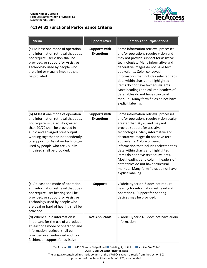

## <span id="page-6-0"></span>**§1194.31 Functional Performance Criteria**

| <b>Criteria</b>                                                                                                                                                                                                                                                                                                                     | <b>Support Level</b>                      | <b>Remarks and Explanations</b>                                                                                                                                                                                                                                                                                                                                                                                                                                                                                                   |
|-------------------------------------------------------------------------------------------------------------------------------------------------------------------------------------------------------------------------------------------------------------------------------------------------------------------------------------|-------------------------------------------|-----------------------------------------------------------------------------------------------------------------------------------------------------------------------------------------------------------------------------------------------------------------------------------------------------------------------------------------------------------------------------------------------------------------------------------------------------------------------------------------------------------------------------------|
| (a) At least one mode of operation<br>and information retrieval that does<br>not require user vision shall be<br>provided, or support for Assistive<br>Technology used by people who<br>are blind or visually impaired shall<br>be provided.                                                                                        | <b>Supports with</b><br><b>Exceptions</b> | Some information retrieval processes<br>and/or operations require vision and<br>may not provide support for assistive<br>technologies. Many informative and<br>decorative images do not have text<br>equivalents. Color-conveyed<br>information that includes selected tabs,<br>data within charts and highlighted<br>items do not have text equivalents.<br>Most headings and column headers of<br>data tables do not have structural<br>markup. Many form fields do not have<br>explicit labeling.                              |
| (b) At least one mode of operation<br>and information retrieval that does<br>not require visual acuity greater<br>than 20/70 shall be provided in<br>audio and enlarged print output<br>working together or independently,<br>or support for Assistive Technology<br>used by people who are visually<br>impaired shall be provided. | <b>Supports with</b><br><b>Exceptions</b> | Some information retrieval processes<br>and/or operations require vision acuity<br>greater than 20/70 and may not<br>provide support for assistive<br>technologies. Many informative and<br>decorative images do not have text<br>equivalents. Color-conveyed<br>information that includes selected tabs,<br>data within charts and highlighted<br>items do not have text equivalents.<br>Most headings and column headers of<br>data tables do not have structural<br>markup. Many form fields do not have<br>explicit labeling. |
| (c) At least one mode of operation<br>and information retrieval that does<br>not require user hearing shall be<br>provided, or support for Assistive<br>Technology used by people who<br>are deaf or hard of hearing shall be<br>provided                                                                                           | <b>Supports</b>                           | vFabric Hyperic 4.6 does not require<br>hearing for information retrieval and<br>operations. Support for hearing<br>devices may be provided.                                                                                                                                                                                                                                                                                                                                                                                      |
| (d) Where audio information is<br>important for the use of a product,<br>at least one mode of operation and<br>information retrieval shall be<br>provided in an enhanced auditory<br>fashion, or support for assistive                                                                                                              | <b>Not Applicable</b>                     | vFabric Hyperic 4.6 does not have audio<br>information.                                                                                                                                                                                                                                                                                                                                                                                                                                                                           |

TecAccess L**LC** 2410 Granite Ridge Road Building A, Unit 1 **Rockville, VA 23146 CONFIDENTIAL AND PROPRIETARY**

The language contained in criteria column of the VPAT© is taken directly from the Section 508 provisions of the Rehabilitation Act of 1973, as amended.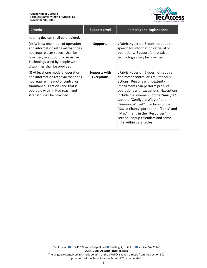

| <b>Criteria</b>                                                                                                                                                                                                          | <b>Support Level</b>                      | <b>Remarks and Explanations</b>                                                                                                                                                                                                                                                                                                                                                                                                                           |
|--------------------------------------------------------------------------------------------------------------------------------------------------------------------------------------------------------------------------|-------------------------------------------|-----------------------------------------------------------------------------------------------------------------------------------------------------------------------------------------------------------------------------------------------------------------------------------------------------------------------------------------------------------------------------------------------------------------------------------------------------------|
| hearing devices shall be provided.                                                                                                                                                                                       |                                           |                                                                                                                                                                                                                                                                                                                                                                                                                                                           |
| (e) At least one mode of operation<br>and information retrieval that does<br>not require user speech shall be<br>provided, or support for Assistive<br>Technology used by people with<br>disabilities shall be provided. | <b>Supports</b>                           | vFabric Hyperic 4.6 does not require<br>speech for information retrieval or<br>operations. Support for assistive<br>technologies may be provided.                                                                                                                                                                                                                                                                                                         |
| (f) At least one mode of operation<br>and information retrieval that does<br>not require fine motor control or<br>simultaneous actions and that is<br>operable with limited reach and<br>strength shall be provided.     | <b>Supports with</b><br><b>Exceptions</b> | vFabric Hyperic 4.6 does not require<br>fine motor control or simultaneous<br>actions. Persons with dexterity<br>impairments can perform product<br>operations with exceptions. Exceptions<br>include the sub-menu of the "Analyze"<br>tab, the "Configure Widget" and<br>"Remove Widget" interfaces of the<br>"Saved Charts" portlet, the "Tools" and<br>"Map" menu in the "Resources"<br>section, popup calendars and some<br>links within data tables. |